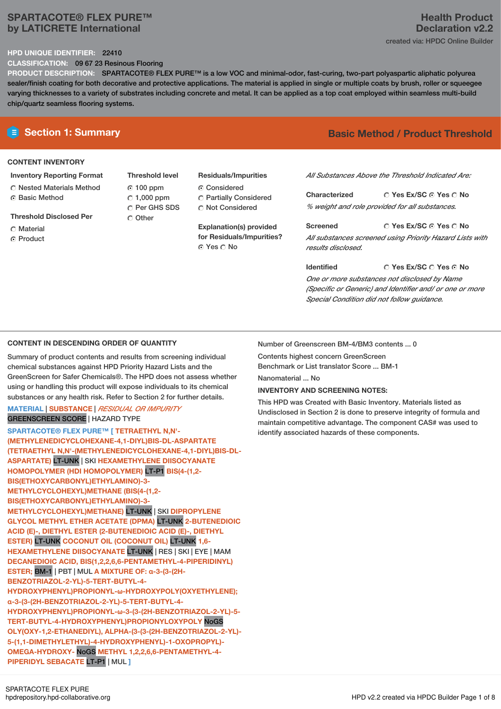# **SPARTACOTE® FLEX PURE™ by LATICRETE International**

### **HPD UNIQUE IDENTIFIER:** 22410

**CLASSIFICATION:** 09 67 23 Resinous Flooring

**PRODUCT DESCRIPTION:** SPARTACOTE® FLEX PURE™ is a low VOC and minimal-odor, fast-curing, two-part polyaspartic aliphatic polyurea sealer/finish coating for both decorative and protective applications. The material is applied in single or multiple coats by brush, roller or squeegee varying thicknesses to a variety of substrates including concrete and metal. It can be applied as a top coat employed within seamless multi-build chip/quartz seamless flooring systems.

# **CONTENT INVENTORY**

- **Inventory Reporting Format** Nested Materials Method
- **G** Basic Method
- **Threshold Disclosed Per**
- Material
- **C** Product

**Threshold level** 100 ppm  $\degree$  1,000 ppm C Per GHS SDS Other

**Residuals/Impurities** Considered Partially Considered

 $\bigcirc$  Not Considered

**Explanation(s) provided for Residuals/Impurities?** Yes No

# **E** Section 1: Summary **Basic Method /** Product Threshold

*All Substances Above the Threshold Indicated Are:*

**Yes Ex/SC Yes No Characterized** *% weight and role provided for all substances.*

**Yes Ex/SC Yes No Screened** *All substances screened using Priority Hazard Lists with results disclosed.*

**Yes Ex/SC Yes No Identified** *One or more substances not disclosed by Name (Specific or Generic) and Identifier and/ or one or more Special Condition did not follow guidance.*

# **CONTENT IN DESCENDING ORDER OF QUANTITY**

Summary of product contents and results from screening individual chemical substances against HPD Priority Hazard Lists and the GreenScreen for Safer Chemicals®. The HPD does not assess whether using or handling this product will expose individuals to its chemical substances or any health risk. Refer to Section 2 for further details.

# **MATERIAL** | **SUBSTANCE** | *RESIDUAL OR IMPURITY* GREENSCREEN SCORE | HAZARD TYPE

**SPARTACOTE® FLEX PURE™ [ TETRAETHYL N,N'- (METHYLENEDICYCLOHEXANE-4,1-DIYL)BIS-DL-ASPARTATE (TETRAETHYL N,N'-(METHYLENEDICYCLOHEXANE-4,1-DIYL)BIS-DL-ASPARTATE)** LT-UNK | SKI **HEXAMETHYLENE DIISOCYANATE HOMOPOLYMER (HDI HOMOPOLYMER)** LT-P1 **BIS(4-(1,2- BIS(ETHOXYCARBONYL)ETHYLAMINO)-3- METHYLCYCLOHEXYL)METHANE (BIS(4-(1,2- BIS(ETHOXYCARBONYL)ETHYLAMINO)-3- METHYLCYCLOHEXYL)METHANE)** LT-UNK | SKI **DIPROPYLENE GLYCOL METHYL ETHER ACETATE (DPMA)** LT-UNK **2-BUTENEDIOIC ACID (E)-, DIETHYL ESTER (2-BUTENEDIOIC ACID (E)-, DIETHYL ESTER)** LT-UNK **COCONUT OIL (COCONUT OIL)** LT-UNK **1,6- HEXAMETHYLENE DIISOCYANATE** LT-UNK | RES | SKI | EYE | MAM **DECANEDIOIC ACID, BIS(1,2,2,6,6-PENTAMETHYL-4-PIPERIDINYL) ESTER;** BM-1 | PBT | MUL **A MIXTURE OF: α-3-(3-(2H-BENZOTRIAZOL-2-YL)-5-TERT-BUTYL-4- HYDROXYPHENYL)PROPIONYL-ω-HYDROXYPOLY(OXYETHYLENE); α-3-(3-(2H-BENZOTRIAZOL-2-YL)-5-TERT-BUTYL-4- HYDROXYPHENYL)PROPIONYL-ω-3-(3-(2H-BENZOTRIAZOL-2-YL)-5- TERT-BUTYL-4-HYDROXYPHENYL)PROPIONYLOXYPOLY** NoGS **OLY(OXY-1,2-ETHANEDIYL), ALPHA-(3-(3-(2H-BENZOTRIAZOL-2-YL)- 5-(1,1-DIMETHYLETHYL)-4-HYDROXYPHENYL)-1-OXOPROPYL)- OMEGA-HYDROXY-** NoGS **METHYL 1,2,2,6,6-PENTAMETHYL-4- PIPERIDYL SEBACATE** LT-P1 | MUL **]**

Number of Greenscreen BM-4/BM3 contents ... 0

Contents highest concern GreenScreen Benchmark or List translator Score ... BM-1

Nanomaterial No

# **INVENTORY AND SCREENING NOTES:**

This HPD was Created with Basic Inventory. Materials listed as Undisclosed in Section 2 is done to preserve integrity of formula and maintain competitive advantage. The component CAS# was used to identify associated hazards of these components.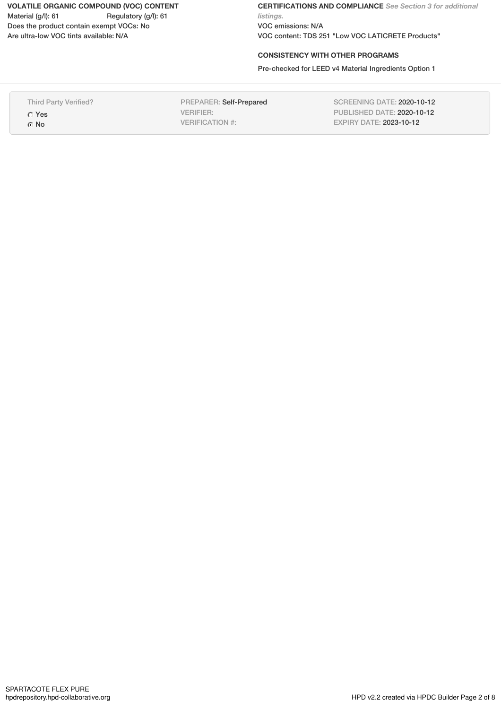**VOLATILE ORGANIC COMPOUND (VOC) CONTENT** Material (g/l): 61 Regulatory (g/l): 61 Does the product contain exempt VOCs: No Are ultra-low VOC tints available: N/A

**CERTIFICATIONS AND COMPLIANCE** *See Section 3 for additional listings.* VOC emissions: N/A VOC content: TDS 251 "Low VOC LATICRETE Products"

## **CONSISTENCY WITH OTHER PROGRAMS**

Pre-checked for LEED v4 Material Ingredients Option 1

| SCREENING DATE: 2020-10-12<br>Third Party Verified?<br><b>PREPARER: Self-Prepared</b><br>PUBLISHED DATE: 2020-10-12<br>VERIFIER:<br>$\circ$ Yes<br><b>EXPIRY DATE: 2023-10-12</b><br>VERIFICATION #:<br>$\odot$ No |
|--------------------------------------------------------------------------------------------------------------------------------------------------------------------------------------------------------------------|
|--------------------------------------------------------------------------------------------------------------------------------------------------------------------------------------------------------------------|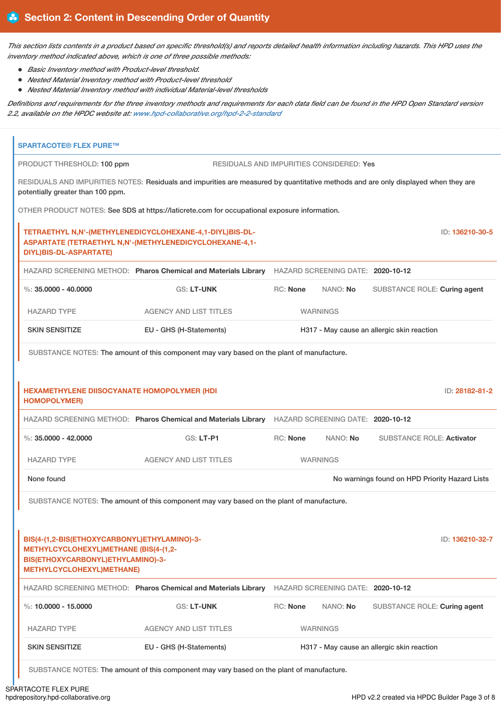This section lists contents in a product based on specific threshold(s) and reports detailed health information including hazards. This HPD uses the *inventory method indicated above, which is one of three possible methods:*

- *Basic Inventory method with Product-level threshold.*
- *Nested Material Inventory method with Product-level threshold*
- *Nested Material Inventory method with individual Material-level thresholds*

Definitions and requirements for the three inventory methods and requirements for each data field can be found in the HPD Open Standard version *2.2, available on the HPDC website at: [www.hpd-collaborative.org/hpd-2-2-standard](https://www.hpd-collaborative.org/hpd-2-2-standard)*

| None found<br>BIS(4-(1,2-BIS(ETHOXYCARBONYL)ETHYLAMINO)-3-<br>METHYLCYCLOHEXYL)METHANE (BIS(4-(1,2-<br>BIS(ETHOXYCARBONYL)ETHYLAMINO)-3-<br>METHYLCYCLOHEXYL) METHANE) | SUBSTANCE NOTES: The amount of this component may vary based on the plant of manufacture.<br>HAZARD SCREENING METHOD: Pharos Chemical and Materials Library |                                            | HAZARD SCREENING DATE: 2020-10-12        | No warnings found on HPD Priority Hazard Lists | ID: 136210-32-7 |
|------------------------------------------------------------------------------------------------------------------------------------------------------------------------|-------------------------------------------------------------------------------------------------------------------------------------------------------------|--------------------------------------------|------------------------------------------|------------------------------------------------|-----------------|
|                                                                                                                                                                        |                                                                                                                                                             |                                            |                                          |                                                |                 |
|                                                                                                                                                                        |                                                                                                                                                             |                                            |                                          |                                                |                 |
|                                                                                                                                                                        |                                                                                                                                                             |                                            |                                          |                                                |                 |
|                                                                                                                                                                        |                                                                                                                                                             |                                            |                                          |                                                |                 |
| <b>HAZARD TYPE</b>                                                                                                                                                     | <b>AGENCY AND LIST TITLES</b>                                                                                                                               |                                            | <b>WARNINGS</b>                          |                                                |                 |
| %: $35,0000 - 42,0000$                                                                                                                                                 | <b>GS: LT-P1</b>                                                                                                                                            | <b>RC: None</b>                            | NANO: No                                 | <b>SUBSTANCE ROLE: Activator</b>               |                 |
|                                                                                                                                                                        | HAZARD SCREENING METHOD: Pharos Chemical and Materials Library HAZARD SCREENING DATE: 2020-10-12                                                            |                                            |                                          |                                                |                 |
| <b>HEXAMETHYLENE DIISOCYANATE HOMOPOLYMER (HDI</b><br><b>HOMOPOLYMER)</b>                                                                                              |                                                                                                                                                             |                                            |                                          |                                                | ID: 28182-81-2  |
|                                                                                                                                                                        | SUBSTANCE NOTES: The amount of this component may vary based on the plant of manufacture.                                                                   |                                            |                                          |                                                |                 |
| <b>SKIN SENSITIZE</b>                                                                                                                                                  | EU - GHS (H-Statements)                                                                                                                                     | H317 - May cause an allergic skin reaction |                                          |                                                |                 |
| <b>HAZARD TYPE</b>                                                                                                                                                     | <b>AGENCY AND LIST TITLES</b>                                                                                                                               | <b>WARNINGS</b>                            |                                          |                                                |                 |
| %: $35,0000 - 40,0000$                                                                                                                                                 | GS: LT-UNK                                                                                                                                                  | RC: None                                   | NANO: No                                 | SUBSTANCE ROLE: Curing agent                   |                 |
|                                                                                                                                                                        | HAZARD SCREENING METHOD: Pharos Chemical and Materials Library HAZARD SCREENING DATE: 2020-10-12                                                            |                                            |                                          |                                                |                 |
| <b>DIYL)BIS-DL-ASPARTATE)</b>                                                                                                                                          | TETRAETHYL N,N'-(METHYLENEDICYCLOHEXANE-4,1-DIYL)BIS-DL-<br>ASPARTATE (TETRAETHYL N,N'-(METHYLENEDICYCLOHEXANE-4,1-                                         |                                            |                                          |                                                | ID: 136210-30-5 |
|                                                                                                                                                                        | OTHER PRODUCT NOTES: See SDS at https://laticrete.com for occupational exposure information.                                                                |                                            |                                          |                                                |                 |
| potentially greater than 100 ppm.                                                                                                                                      | RESIDUALS AND IMPURITIES NOTES: Residuals and impurities are measured by quantitative methods and are only displayed when they are                          |                                            |                                          |                                                |                 |
|                                                                                                                                                                        |                                                                                                                                                             |                                            | RESIDUALS AND IMPURITIES CONSIDERED: Yes |                                                |                 |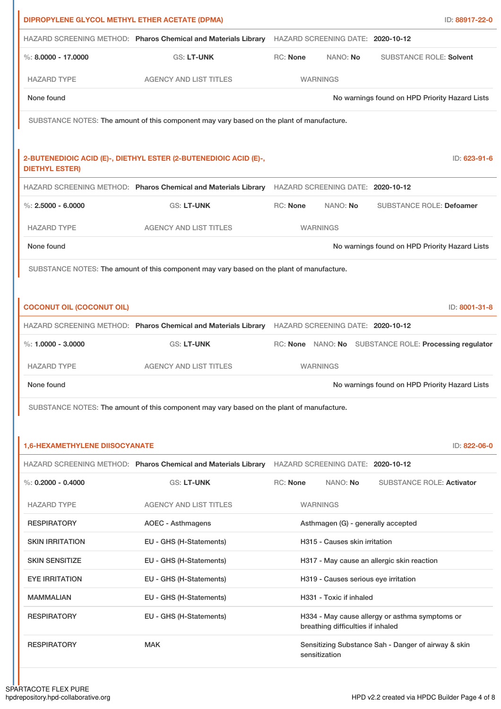| DIPROPYLENE GLYCOL METHYL ETHER ACETATE (DPMA)                   |                 |                                                                |                                                                                                                                                                                                                                                                                                                                                                                                     | ID: 88917-22-0                                                                                                                                                                                                                                                                                                                                                                                                                                                                                                                                                                                                                                                                                                                                                                                                                                                 |
|------------------------------------------------------------------|-----------------|----------------------------------------------------------------|-----------------------------------------------------------------------------------------------------------------------------------------------------------------------------------------------------------------------------------------------------------------------------------------------------------------------------------------------------------------------------------------------------|----------------------------------------------------------------------------------------------------------------------------------------------------------------------------------------------------------------------------------------------------------------------------------------------------------------------------------------------------------------------------------------------------------------------------------------------------------------------------------------------------------------------------------------------------------------------------------------------------------------------------------------------------------------------------------------------------------------------------------------------------------------------------------------------------------------------------------------------------------------|
|                                                                  |                 |                                                                |                                                                                                                                                                                                                                                                                                                                                                                                     |                                                                                                                                                                                                                                                                                                                                                                                                                                                                                                                                                                                                                                                                                                                                                                                                                                                                |
| <b>GS: LT-UNK</b>                                                | RC: None        |                                                                |                                                                                                                                                                                                                                                                                                                                                                                                     |                                                                                                                                                                                                                                                                                                                                                                                                                                                                                                                                                                                                                                                                                                                                                                                                                                                                |
| <b>AGENCY AND LIST TITLES</b>                                    |                 |                                                                |                                                                                                                                                                                                                                                                                                                                                                                                     |                                                                                                                                                                                                                                                                                                                                                                                                                                                                                                                                                                                                                                                                                                                                                                                                                                                                |
|                                                                  |                 |                                                                |                                                                                                                                                                                                                                                                                                                                                                                                     |                                                                                                                                                                                                                                                                                                                                                                                                                                                                                                                                                                                                                                                                                                                                                                                                                                                                |
|                                                                  |                 |                                                                |                                                                                                                                                                                                                                                                                                                                                                                                     |                                                                                                                                                                                                                                                                                                                                                                                                                                                                                                                                                                                                                                                                                                                                                                                                                                                                |
|                                                                  |                 |                                                                |                                                                                                                                                                                                                                                                                                                                                                                                     |                                                                                                                                                                                                                                                                                                                                                                                                                                                                                                                                                                                                                                                                                                                                                                                                                                                                |
| 2-BUTENEDIOIC ACID (E)-, DIETHYL ESTER (2-BUTENEDIOIC ACID (E)-, |                 |                                                                |                                                                                                                                                                                                                                                                                                                                                                                                     | ID: 623-91-6                                                                                                                                                                                                                                                                                                                                                                                                                                                                                                                                                                                                                                                                                                                                                                                                                                                   |
|                                                                  |                 |                                                                |                                                                                                                                                                                                                                                                                                                                                                                                     |                                                                                                                                                                                                                                                                                                                                                                                                                                                                                                                                                                                                                                                                                                                                                                                                                                                                |
| <b>GS: LT-UNK</b>                                                | <b>RC: None</b> |                                                                |                                                                                                                                                                                                                                                                                                                                                                                                     |                                                                                                                                                                                                                                                                                                                                                                                                                                                                                                                                                                                                                                                                                                                                                                                                                                                                |
| <b>AGENCY AND LIST TITLES</b>                                    |                 |                                                                |                                                                                                                                                                                                                                                                                                                                                                                                     |                                                                                                                                                                                                                                                                                                                                                                                                                                                                                                                                                                                                                                                                                                                                                                                                                                                                |
|                                                                  |                 |                                                                |                                                                                                                                                                                                                                                                                                                                                                                                     |                                                                                                                                                                                                                                                                                                                                                                                                                                                                                                                                                                                                                                                                                                                                                                                                                                                                |
|                                                                  |                 |                                                                |                                                                                                                                                                                                                                                                                                                                                                                                     |                                                                                                                                                                                                                                                                                                                                                                                                                                                                                                                                                                                                                                                                                                                                                                                                                                                                |
|                                                                  |                 |                                                                |                                                                                                                                                                                                                                                                                                                                                                                                     |                                                                                                                                                                                                                                                                                                                                                                                                                                                                                                                                                                                                                                                                                                                                                                                                                                                                |
|                                                                  |                 |                                                                |                                                                                                                                                                                                                                                                                                                                                                                                     | ID: 8001-31-8                                                                                                                                                                                                                                                                                                                                                                                                                                                                                                                                                                                                                                                                                                                                                                                                                                                  |
|                                                                  |                 |                                                                |                                                                                                                                                                                                                                                                                                                                                                                                     |                                                                                                                                                                                                                                                                                                                                                                                                                                                                                                                                                                                                                                                                                                                                                                                                                                                                |
| <b>GS: LT-UNK</b>                                                |                 |                                                                |                                                                                                                                                                                                                                                                                                                                                                                                     |                                                                                                                                                                                                                                                                                                                                                                                                                                                                                                                                                                                                                                                                                                                                                                                                                                                                |
| <b>AGENCY AND LIST TITLES</b>                                    |                 |                                                                |                                                                                                                                                                                                                                                                                                                                                                                                     |                                                                                                                                                                                                                                                                                                                                                                                                                                                                                                                                                                                                                                                                                                                                                                                                                                                                |
|                                                                  |                 |                                                                |                                                                                                                                                                                                                                                                                                                                                                                                     |                                                                                                                                                                                                                                                                                                                                                                                                                                                                                                                                                                                                                                                                                                                                                                                                                                                                |
|                                                                  |                 |                                                                |                                                                                                                                                                                                                                                                                                                                                                                                     |                                                                                                                                                                                                                                                                                                                                                                                                                                                                                                                                                                                                                                                                                                                                                                                                                                                                |
|                                                                  |                 |                                                                |                                                                                                                                                                                                                                                                                                                                                                                                     |                                                                                                                                                                                                                                                                                                                                                                                                                                                                                                                                                                                                                                                                                                                                                                                                                                                                |
| <b>1,6-HEXAMETHYLENE DIISOCYANATE</b>                            |                 |                                                                |                                                                                                                                                                                                                                                                                                                                                                                                     | ID: 822-06-0                                                                                                                                                                                                                                                                                                                                                                                                                                                                                                                                                                                                                                                                                                                                                                                                                                                   |
|                                                                  |                 |                                                                |                                                                                                                                                                                                                                                                                                                                                                                                     |                                                                                                                                                                                                                                                                                                                                                                                                                                                                                                                                                                                                                                                                                                                                                                                                                                                                |
| <b>GS: LT-UNK</b>                                                | <b>RC: None</b> |                                                                |                                                                                                                                                                                                                                                                                                                                                                                                     |                                                                                                                                                                                                                                                                                                                                                                                                                                                                                                                                                                                                                                                                                                                                                                                                                                                                |
| <b>AGENCY AND LIST TITLES</b>                                    |                 |                                                                |                                                                                                                                                                                                                                                                                                                                                                                                     |                                                                                                                                                                                                                                                                                                                                                                                                                                                                                                                                                                                                                                                                                                                                                                                                                                                                |
| <b>AOEC - Asthmagens</b>                                         |                 |                                                                |                                                                                                                                                                                                                                                                                                                                                                                                     |                                                                                                                                                                                                                                                                                                                                                                                                                                                                                                                                                                                                                                                                                                                                                                                                                                                                |
| EU - GHS (H-Statements)                                          |                 |                                                                |                                                                                                                                                                                                                                                                                                                                                                                                     |                                                                                                                                                                                                                                                                                                                                                                                                                                                                                                                                                                                                                                                                                                                                                                                                                                                                |
| EU - GHS (H-Statements)                                          |                 |                                                                |                                                                                                                                                                                                                                                                                                                                                                                                     |                                                                                                                                                                                                                                                                                                                                                                                                                                                                                                                                                                                                                                                                                                                                                                                                                                                                |
| EU - GHS (H-Statements)                                          |                 |                                                                |                                                                                                                                                                                                                                                                                                                                                                                                     |                                                                                                                                                                                                                                                                                                                                                                                                                                                                                                                                                                                                                                                                                                                                                                                                                                                                |
| EU - GHS (H-Statements)                                          |                 |                                                                |                                                                                                                                                                                                                                                                                                                                                                                                     |                                                                                                                                                                                                                                                                                                                                                                                                                                                                                                                                                                                                                                                                                                                                                                                                                                                                |
|                                                                  |                 |                                                                | H334 - May cause allergy or asthma symptoms or                                                                                                                                                                                                                                                                                                                                                      |                                                                                                                                                                                                                                                                                                                                                                                                                                                                                                                                                                                                                                                                                                                                                                                                                                                                |
| EU - GHS (H-Statements)                                          |                 | breathing difficulties if inhaled                              |                                                                                                                                                                                                                                                                                                                                                                                                     |                                                                                                                                                                                                                                                                                                                                                                                                                                                                                                                                                                                                                                                                                                                                                                                                                                                                |
|                                                                  |                 | HAZARD SCREENING METHOD: Pharos Chemical and Materials Library | NANO: No<br><b>WARNINGS</b><br>SUBSTANCE NOTES: The amount of this component may vary based on the plant of manufacture.<br>NANO: No<br><b>WARNINGS</b><br>SUBSTANCE NOTES: The amount of this component may vary based on the plant of manufacture.<br><b>WARNINGS</b><br>SUBSTANCE NOTES: The amount of this component may vary based on the plant of manufacture.<br>NANO: No<br><b>WARNINGS</b> | HAZARD SCREENING METHOD: Pharos Chemical and Materials Library HAZARD SCREENING DATE: 2020-10-12<br><b>SUBSTANCE ROLE: Solvent</b><br>No warnings found on HPD Priority Hazard Lists<br>HAZARD SCREENING METHOD: Pharos Chemical and Materials Library HAZARD SCREENING DATE: 2020-10-12<br><b>SUBSTANCE ROLE: Defoamer</b><br>No warnings found on HPD Priority Hazard Lists<br>HAZARD SCREENING METHOD: Pharos Chemical and Materials Library HAZARD SCREENING DATE: 2020-10-12<br>RC: None NANO: No SUBSTANCE ROLE: Processing regulator<br>No warnings found on HPD Priority Hazard Lists<br>HAZARD SCREENING DATE: 2020-10-12<br><b>SUBSTANCE ROLE: Activator</b><br>Asthmagen (G) - generally accepted<br>H315 - Causes skin irritation<br>H317 - May cause an allergic skin reaction<br>H319 - Causes serious eye irritation<br>H331 - Toxic if inhaled |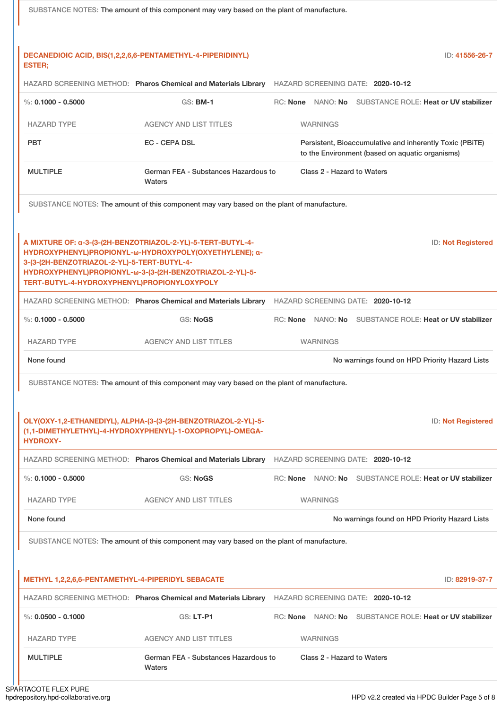|                                                                                            | SUBSTANCE NOTES: The amount of this component may vary based on the plant of manufacture.                                                                                         |                                                                                                             |                           |
|--------------------------------------------------------------------------------------------|-----------------------------------------------------------------------------------------------------------------------------------------------------------------------------------|-------------------------------------------------------------------------------------------------------------|---------------------------|
|                                                                                            |                                                                                                                                                                                   |                                                                                                             |                           |
| <b>ESTER;</b>                                                                              | DECANEDIOIC ACID, BIS(1,2,2,6,6-PENTAMETHYL-4-PIPERIDINYL)                                                                                                                        |                                                                                                             | ID: 41556-26-7            |
|                                                                                            |                                                                                                                                                                                   | HAZARD SCREENING METHOD: Pharos Chemical and Materials Library HAZARD SCREENING DATE: 2020-10-12            |                           |
| %: $0.1000 - 0.5000$                                                                       | <b>GS: BM-1</b>                                                                                                                                                                   | RC: None NANO: No SUBSTANCE ROLE: Heat or UV stabilizer                                                     |                           |
| <b>HAZARD TYPE</b>                                                                         | <b>AGENCY AND LIST TITLES</b>                                                                                                                                                     | <b>WARNINGS</b>                                                                                             |                           |
| <b>PBT</b>                                                                                 | EC - CEPA DSL                                                                                                                                                                     | Persistent, Bioaccumulative and inherently Toxic (PBiTE)<br>to the Environment (based on aquatic organisms) |                           |
| <b>MULTIPLE</b>                                                                            | German FEA - Substances Hazardous to<br>Waters                                                                                                                                    | Class 2 - Hazard to Waters                                                                                  |                           |
|                                                                                            | SUBSTANCE NOTES: The amount of this component may vary based on the plant of manufacture.                                                                                         |                                                                                                             |                           |
|                                                                                            |                                                                                                                                                                                   |                                                                                                             |                           |
| 3-(3-(2H-BENZOTRIAZOL-2-YL)-5-TERT-BUTYL-4-<br>TERT-BUTYL-4-HYDROXYPHENYL)PROPIONYLOXYPOLY | A MIXTURE OF: a-3-(3-(2H-BENZOTRIAZOL-2-YL)-5-TERT-BUTYL-4-<br>HYDROXYPHENYL)PROPIONYL-ω-HYDROXYPOLY(OXYETHYLENE); α-<br>HYDROXYPHENYL)PROPIONYL-ω-3-(3-(2H-BENZOTRIAZOL-2-YL)-5- |                                                                                                             | <b>ID: Not Registered</b> |
|                                                                                            |                                                                                                                                                                                   | HAZARD SCREENING METHOD: Pharos Chemical and Materials Library HAZARD SCREENING DATE: 2020-10-12            |                           |
| %: $0.1000 - 0.5000$                                                                       | <b>GS: NoGS</b>                                                                                                                                                                   | RC: None NANO: No SUBSTANCE ROLE: Heat or UV stabilizer                                                     |                           |
| <b>HAZARD TYPE</b>                                                                         | <b>AGENCY AND LIST TITLES</b>                                                                                                                                                     | <b>WARNINGS</b>                                                                                             |                           |
| None found                                                                                 |                                                                                                                                                                                   | No warnings found on HPD Priority Hazard Lists                                                              |                           |
|                                                                                            | SUBSTANCE NOTES: The amount of this component may vary based on the plant of manufacture.                                                                                         |                                                                                                             |                           |
|                                                                                            |                                                                                                                                                                                   |                                                                                                             |                           |
| <b>HYDROXY-</b>                                                                            | OLY(OXY-1,2-ETHANEDIYL), ALPHA-(3-(3-(2H-BENZOTRIAZOL-2-YL)-5-<br>(1,1-DIMETHYLETHYL)-4-HYDROXYPHENYL)-1-OXOPROPYL)-OMEGA-                                                        |                                                                                                             | ID: Not Registered        |
|                                                                                            |                                                                                                                                                                                   | HAZARD SCREENING METHOD: Pharos Chemical and Materials Library HAZARD SCREENING DATE: 2020-10-12            |                           |
| %: $0.1000 - 0.5000$                                                                       | <b>GS: NoGS</b>                                                                                                                                                                   | RC: None NANO: No SUBSTANCE ROLE: Heat or UV stabilizer                                                     |                           |
| <b>HAZARD TYPE</b>                                                                         | <b>AGENCY AND LIST TITLES</b>                                                                                                                                                     | <b>WARNINGS</b>                                                                                             |                           |
| None found                                                                                 |                                                                                                                                                                                   | No warnings found on HPD Priority Hazard Lists                                                              |                           |
|                                                                                            | SUBSTANCE NOTES: The amount of this component may vary based on the plant of manufacture.                                                                                         |                                                                                                             |                           |
|                                                                                            |                                                                                                                                                                                   |                                                                                                             |                           |
| METHYL 1,2,2,6,6-PENTAMETHYL-4-PIPERIDYL SEBACATE                                          |                                                                                                                                                                                   |                                                                                                             | ID: 82919-37-7            |
|                                                                                            |                                                                                                                                                                                   | HAZARD SCREENING METHOD: Pharos Chemical and Materials Library HAZARD SCREENING DATE: 2020-10-12            |                           |
| $\%$ : 0.0500 - 0.1000                                                                     | GS: LT-P1                                                                                                                                                                         | RC: None NANO: No SUBSTANCE ROLE: Heat or UV stabilizer                                                     |                           |
| <b>HAZARD TYPE</b>                                                                         | <b>AGENCY AND LIST TITLES</b>                                                                                                                                                     | <b>WARNINGS</b>                                                                                             |                           |
| <b>MULTIPLE</b>                                                                            | German FEA - Substances Hazardous to<br>Waters                                                                                                                                    | Class 2 - Hazard to Waters                                                                                  |                           |

ı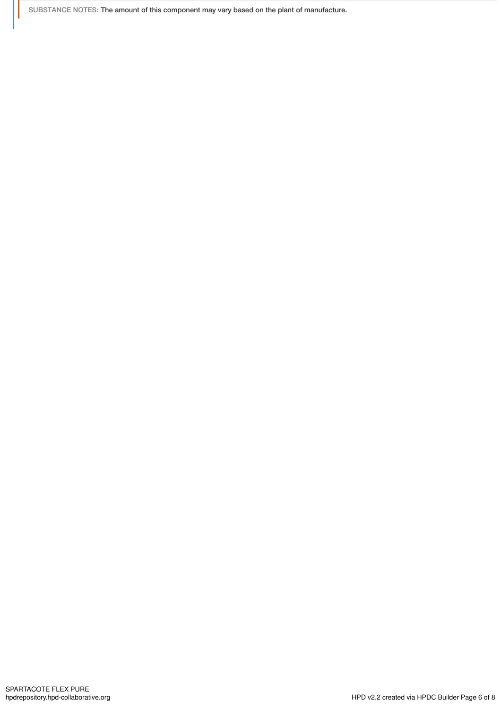SUBSTANCE NOTES: The amount of this component may vary based on the plant of manufacture.

Ш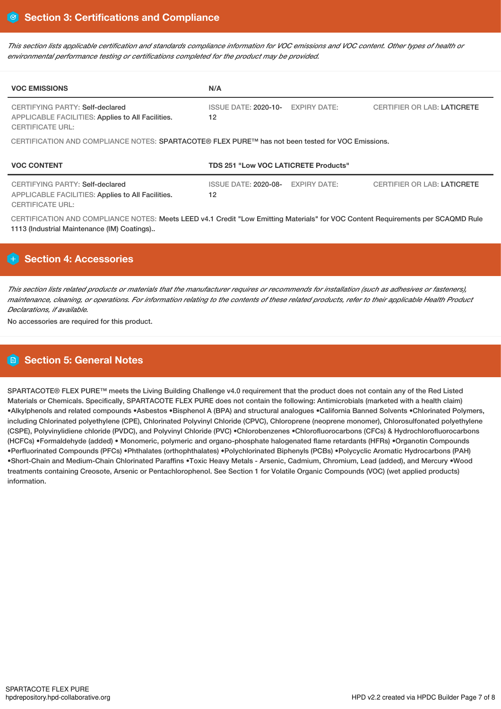This section lists applicable certification and standards compliance information for VOC emissions and VOC content. Other types of health or *environmental performance testing or certifications completed for the product may be provided.*

| <b>VOC EMISSIONS</b>                                                                                            | N/A                                         |                     |                                    |  |  |  |
|-----------------------------------------------------------------------------------------------------------------|---------------------------------------------|---------------------|------------------------------------|--|--|--|
| CERTIFYING PARTY: Self-declared<br>APPLICABLE FACILITIES: Applies to All Facilities.<br><b>CERTIFICATE URL:</b> | ISSUE DATE: 2020-10- EXPIRY DATE:<br>12     |                     | <b>CERTIFIER OR LAB: LATICRETE</b> |  |  |  |
| CERTIFICATION AND COMPLIANCE NOTES: SPARTACOTE® FLEX PURE™ has not been tested for VOC Emissions.               |                                             |                     |                                    |  |  |  |
| <b>VOC CONTENT</b>                                                                                              | <b>TDS 251 "Low VOC LATICRETE Products"</b> |                     |                                    |  |  |  |
| CERTIFYING PARTY: Self-declared<br>APPLICABLE FACILITIES: Applies to All Facilities.<br><b>CERTIFICATE URL:</b> | ISSUE DATE: 2020-08-<br>12                  | <b>EXPIRY DATE:</b> | <b>CERTIFIER OR LAB: LATICRETE</b> |  |  |  |

CERTIFICATION AND COMPLIANCE NOTES: Meets LEED v4.1 Credit "Low Emitting Materials" for VOC Content Requirements per SCAQMD Rule 1113 (Industrial Maintenance (IM) Coatings)..

# **Section 4: Accessories**

This section lists related products or materials that the manufacturer requires or recommends for installation (such as adhesives or fasteners), maintenance, cleaning, or operations. For information relating to the contents of these related products, refer to their applicable Health Product *Declarations, if available.*

No accessories are required for this product.

# **Section 5: General Notes**

SPARTACOTE® FLEX PURE™ meets the Living Building Challenge v4.0 requirement that the product does not contain any of the Red Listed Materials or Chemicals. Specifically, SPARTACOTE FLEX PURE does not contain the following: Antimicrobials (marketed with a health claim) •Alkylphenols and related compounds •Asbestos •Bisphenol A (BPA) and structural analogues •California Banned Solvents •Chlorinated Polymers, including Chlorinated polyethylene (CPE), Chlorinated Polyvinyl Chloride (CPVC), Chloroprene (neoprene monomer), Chlorosulfonated polyethylene (CSPE), Polyvinylidiene chloride (PVDC), and Polyvinyl Chloride (PVC) •Chlorobenzenes •Chlorofluorocarbons (CFCs) & Hydrochlorofluorocarbons (HCFCs) •Formaldehyde (added) • Monomeric, polymeric and organo-phosphate halogenated flame retardants (HFRs) •Organotin Compounds •Perfluorinated Compounds (PFCs) •Phthalates (orthophthalates) •Polychlorinated Biphenyls (PCBs) •Polycyclic Aromatic Hydrocarbons (PAH) •Short-Chain and Medium-Chain Chlorinated Paraffins •Toxic Heavy Metals - Arsenic, Cadmium, Chromium, Lead (added), and Mercury •Wood treatments containing Creosote, Arsenic or Pentachlorophenol. See Section 1 for Volatile Organic Compounds (VOC) (wet applied products) information.